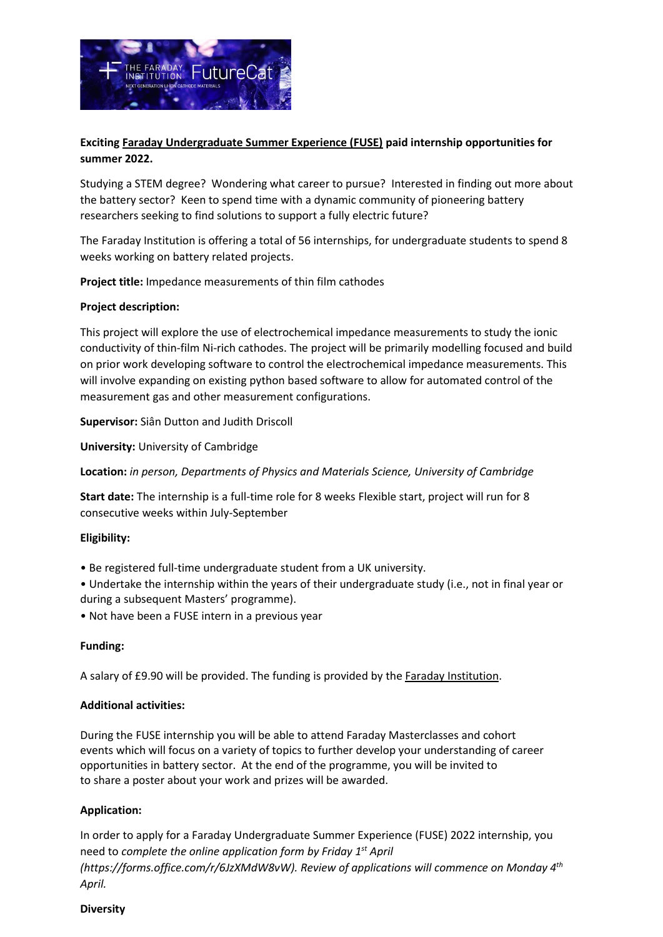

# **Exciting [Faraday Undergraduate Summer Experience \(FUSE\)](https://www.faraday.ac.uk/fuse-2022/) paid internship opportunities for summer 2022.**

Studying a STEM degree? Wondering what career to pursue? Interested in finding out more about the battery sector? Keen to spend time with a dynamic community of pioneering battery researchers seeking to find solutions to support a fully electric future?

The Faraday Institution is offering a total of 56 internships, for undergraduate students to spend 8 weeks working on battery related projects.

**Project title:** Impedance measurements of thin film cathodes

### **Project description:**

This project will explore the use of electrochemical impedance measurements to study the ionic conductivity of thin-film Ni-rich cathodes. The project will be primarily modelling focused and build on prior work developing software to control the electrochemical impedance measurements. This will involve expanding on existing python based software to allow for automated control of the measurement gas and other measurement configurations.

**Supervisor:** Siân Dutton and Judith Driscoll

**University:** University of Cambridge

**Location:** *in person, Departments of Physics and Materials Science, University of Cambridge*

**Start date:** The internship is a full-time role for 8 weeks Flexible start, project will run for 8 consecutive weeks within July-September

### **Eligibility:**

- Be registered full-time undergraduate student from a UK university.
- Undertake the internship within the years of their undergraduate study (i.e., not in final year or during a subsequent Masters' programme).
- Not have been a FUSE intern in a previous year

### **Funding:**

A salary of £9.90 will be provided. The funding is provided by the [Faraday Institution.](https://www.faraday.ac.uk/)

### **Additional activities:**

During the FUSE internship you will be able to attend Faraday Masterclasses and cohort events which will focus on a variety of topics to further develop your understanding of career opportunities in battery sector. At the end of the programme, you will be invited to to share a poster about your work and prizes will be awarded.

## **Application:**

In order to apply for a Faraday Undergraduate Summer Experience (FUSE) 2022 internship, you need to *complete the online application form by Friday 1st April (https://forms.office.com/r/6JzXMdW8vW). Review of applications will commence on Monday 4th April.*

#### **Diversity**